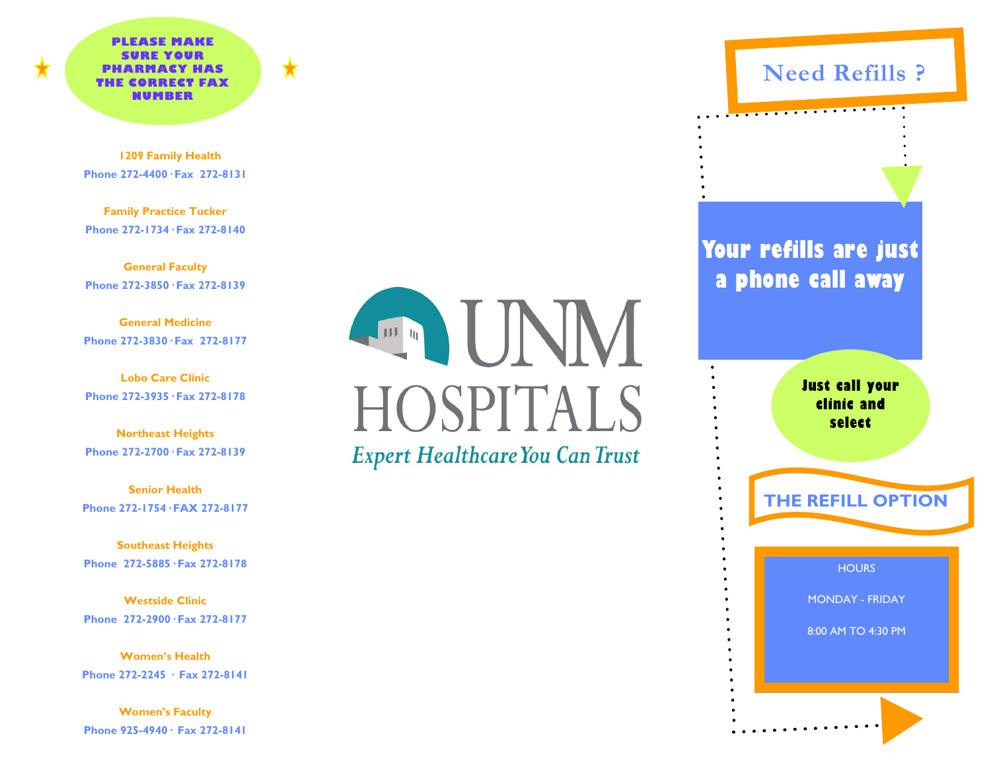**PLEASE MAKE SURE YOUR PHARMACY HAS THE CORRECT FAX NUMBER** 



 **1209 Family Health Phone 272-4400· Fax 272-8131** 

**Family Practice Tucker Phone 272-1734· Fax 272-8140** 

**General Faculty Phone 272-3850· Fax 272-8139** 

**General Medicine Phone 272-3830· Fax 272-8177** 

**Lobo Care Clinic Phone 272-3935· Fax 272-8178** 

**Northeast Heights Phone 272-2700· Fax 272-8139** 

**Senior Health Phone 272-1754· FAX 272-8177** 

**Southeast Heights Phone 272-5885· Fax 272-8178** 

**Westside Clinic Phone 272-2900· Fax 272-8177** 

**Women's Health Phone 272-2245 · Fax 272-8141** 

**Women's Faculty Phone 925-4940· Fax 272-8141** 



## **Need Refills ?**

**Your refills are just a phone call away** 

 $\overline{\phantom{a}}$  . . . . . .

**Just call your clinic and select** 

**HOURS THE REFILL OPTION** 

MONDAY - FRIDAY

8:00 AM TO 4:30 PM